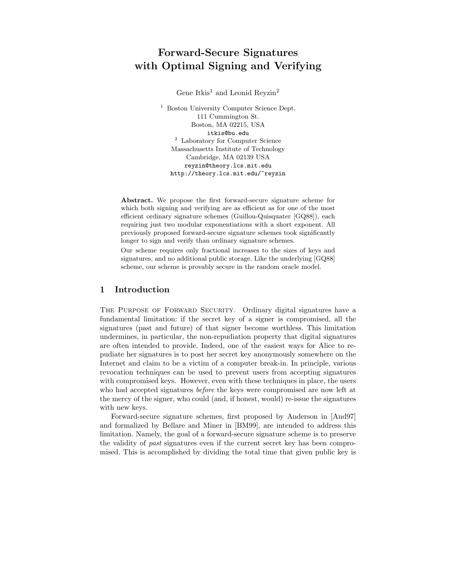# Forward-Secure Signatures with Optimal Signing and Verifying

Gene Itkis<sup>1</sup> and Leonid Revzin<sup>2</sup>

<sup>1</sup> Boston University Computer Science Dept. 111 Cummington St. Boston, MA 02215, USA itkis@bu.edu <sup>2</sup> Laboratory for Computer Science Massachusetts Institute of Technology Cambridge, MA 02139 USA reyzin@theory.lcs.mit.edu http://theory.lcs.mit.edu/~reyzin

Abstract. We propose the first forward-secure signature scheme for which both signing and verifying are as efficient as for one of the most efficient ordinary signature schemes (Guillou-Quisquater [GQ88]), each requiring just two modular exponentiations with a short exponent. All previously proposed forward-secure signature schemes took significantly longer to sign and verify than ordinary signature schemes.

Our scheme requires only fractional increases to the sizes of keys and signatures, and no additional public storage. Like the underlying [GQ88] scheme, our scheme is provably secure in the random oracle model.

# 1 Introduction

THE PURPOSE OF FORWARD SECURITY. Ordinary digital signatures have a fundamental limitation: if the secret key of a signer is compromised, all the signatures (past and future) of that signer become worthless. This limitation undermines, in particular, the non-repudiation property that digital signatures are often intended to provide. Indeed, one of the easiest ways for Alice to repudiate her signatures is to post her secret key anonymously somewhere on the Internet and claim to be a victim of a computer break-in. In principle, various revocation techniques can be used to prevent users from accepting signatures with compromised keys. However, even with these techniques in place, the users who had accepted signatures before the keys were compromised are now left at the mercy of the signer, who could (and, if honest, would) re-issue the signatures with new keys.

Forward-secure signature schemes, first proposed by Anderson in [And97] and formalized by Bellare and Miner in [BM99], are intended to address this limitation. Namely, the goal of a forward-secure signature scheme is to preserve the validity of past signatures even if the current secret key has been compromised. This is accomplished by dividing the total time that given public key is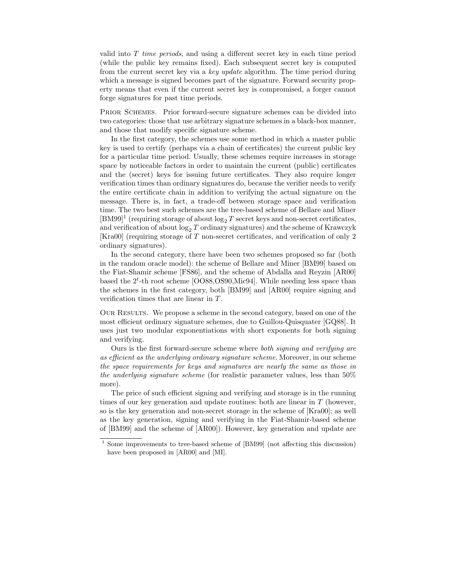valid into T time periods, and using a different secret key in each time period (while the public key remains fixed). Each subsequent secret key is computed from the current secret key via a key update algorithm. The time period during which a message is signed becomes part of the signature. Forward security property means that even if the current secret key is compromised, a forger cannot forge signatures for past time periods.

Prior Schemes. Prior forward-secure signature schemes can be divided into two categories: those that use arbitrary signature schemes in a black-box manner, and those that modify specific signature scheme.

In the first category, the schemes use some method in which a master public key is used to certify (perhaps via a chain of certificates) the current public key for a particular time period. Usually, these schemes require increases in storage space by noticeable factors in order to maintain the current (public) certificates and the (secret) keys for issuing future certificates. They also require longer verification times than ordinary signatures do, because the verifier needs to verify the entire certificate chain in addition to verifying the actual signature on the message. There is, in fact, a trade-off between storage space and verification time. The two best such schemes are the tree-based scheme of Bellare and Miner [BM99]<sup>1</sup> (requiring storage of about  $\log_2 T$  secret keys and non-secret certificates, and verification of about  $\log_2 T$  ordinary signatures) and the scheme of Krawczyk [Kra00] (requiring storage of T non-secret certificates, and verification of only 2 ordinary signatures).

In the second category, there have been two schemes proposed so far (both in the random oracle model): the scheme of Bellare and Miner [BM99] based on the Fiat-Shamir scheme [FS86], and the scheme of Abdalla and Reyzin [AR00] based the  $2^t$ -th root scheme [OO88,OS90,Mic94]. While needing less space than the schemes in the first category, both [BM99] and [AR00] require signing and verification times that are linear in T.

Our Results. We propose a scheme in the second category, based on one of the most efficient ordinary signature schemes, due to Guillou-Quisquater [GQ88]. It uses just two modular exponentiations with short exponents for both signing and verifying.

Ours is the first forward-secure scheme where both signing and verifying are as efficient as the underlying ordinary signature scheme. Moreover, in our scheme the space requirements for keys and signatures are nearly the same as those in the underlying signature scheme (for realistic parameter values, less than 50% more).

The price of such efficient signing and verifying and storage is in the running times of our key generation and update routines: both are linear in  $T$  (however, so is the key generation and non-secret storage in the scheme of [Kra00]; as well as the key generation, signing and verifying in the Fiat-Shamir-based scheme of [BM99] and the scheme of [AR00]). However, key generation and update are

<sup>1</sup> Some improvements to tree-based scheme of [BM99] (not affecting this discussion) have been proposed in [AR00] and [MI].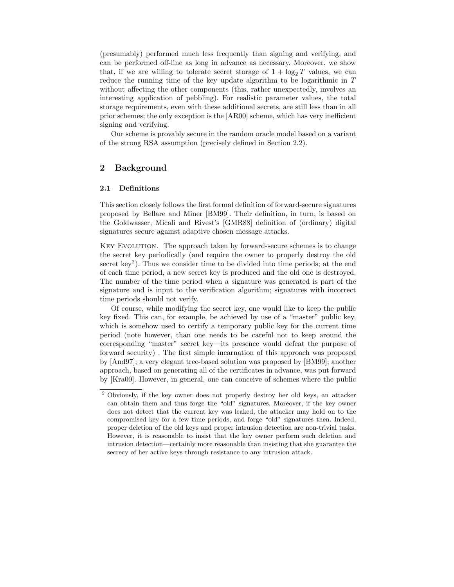(presumably) performed much less frequently than signing and verifying, and can be performed off-line as long in advance as necessary. Moreover, we show that, if we are willing to tolerate secret storage of  $1 + \log_2 T$  values, we can reduce the running time of the key update algorithm to be logarithmic in T without affecting the other components (this, rather unexpectedly, involves an interesting application of pebbling). For realistic parameter values, the total storage requirements, even with these additional secrets, are still less than in all prior schemes; the only exception is the [AR00] scheme, which has very inefficient signing and verifying.

Our scheme is provably secure in the random oracle model based on a variant of the strong RSA assumption (precisely defined in Section 2.2).

# 2 Background

#### 2.1 Definitions

This section closely follows the first formal definition of forward-secure signatures proposed by Bellare and Miner [BM99]. Their definition, in turn, is based on the Goldwasser, Micali and Rivest's [GMR88] definition of (ordinary) digital signatures secure against adaptive chosen message attacks.

Key Evolution. The approach taken by forward-secure schemes is to change the secret key periodically (and require the owner to properly destroy the old secret key<sup>2</sup>). Thus we consider time to be divided into time periods; at the end of each time period, a new secret key is produced and the old one is destroyed. The number of the time period when a signature was generated is part of the signature and is input to the verification algorithm; signatures with incorrect time periods should not verify.

Of course, while modifying the secret key, one would like to keep the public key fixed. This can, for example, be achieved by use of a "master" public key, which is somehow used to certify a temporary public key for the current time period (note however, than one needs to be careful not to keep around the corresponding "master" secret key—its presence would defeat the purpose of forward security) . The first simple incarnation of this approach was proposed by [And97]; a very elegant tree-based solution was proposed by [BM99]; another approach, based on generating all of the certificates in advance, was put forward by [Kra00]. However, in general, one can conceive of schemes where the public

<sup>2</sup> Obviously, if the key owner does not properly destroy her old keys, an attacker can obtain them and thus forge the "old" signatures. Moreover, if the key owner does not detect that the current key was leaked, the attacker may hold on to the compromised key for a few time periods, and forge "old" signatures then. Indeed, proper deletion of the old keys and proper intrusion detection are non-trivial tasks. However, it is reasonable to insist that the key owner perform such deletion and intrusion detection—certainly more reasonable than insisting that she guarantee the secrecy of her active keys through resistance to any intrusion attack.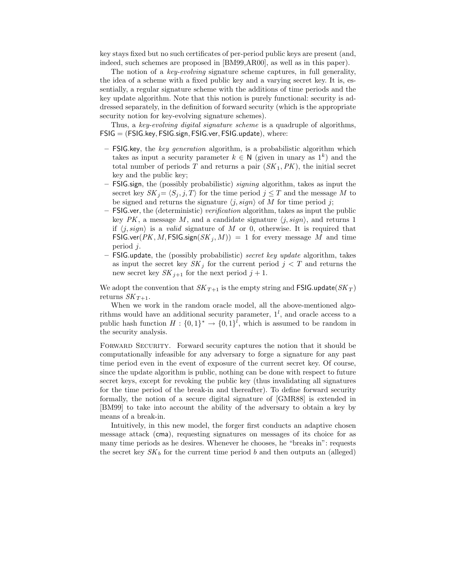key stays fixed but no such certificates of per-period public keys are present (and, indeed, such schemes are proposed in [BM99,AR00], as well as in this paper).

The notion of a key-evolving signature scheme captures, in full generality, the idea of a scheme with a fixed public key and a varying secret key. It is, essentially, a regular signature scheme with the additions of time periods and the key update algorithm. Note that this notion is purely functional: security is addressed separately, in the definition of forward security (which is the appropriate security notion for key-evolving signature schemes).

Thus, a key-evolving digital signature scheme is a quadruple of algorithms, FSIG = (FSIG.key, FSIG.sign, FSIG.ver, FSIG.update), where:

- $-$  FSIG.key, the key generation algorithm, is a probabilistic algorithm which takes as input a security parameter  $k \in \mathbb{N}$  (given in unary as  $1^k$ ) and the total number of periods  $T$  and returns a pair  $(SK_1, PK)$ , the initial secret key and the public key;
- FSIG.sign, the (possibly probabilistic) signing algorithm, takes as input the secret key  $SK_j = \langle S_j, j, T \rangle$  for the time period  $j \leq T$  and the message M to be signed and returns the signature  $\langle j, sign \rangle$  of M for time period j;
- FSIG.ver, the (deterministic) verification algorithm, takes as input the public key PK, a message M, and a candidate signature  $\langle j, sign \rangle$ , and returns 1 if  $\langle j, sign \rangle$  is a valid signature of M or 0, otherwise. It is required that FSIG.ver( $PK, M$ , FSIG.sign( $SK_j, M$ )) = 1 for every message M and time period j.
- $-$  FSIG.update, the (possibly probabilistic) secret key update algorithm, takes as input the secret key  $SK_j$  for the current period  $j < T$  and returns the new secret key  $SK_{j+1}$  for the next period  $j+1$ .

We adopt the convention that  $SK_{T+1}$  is the empty string and FSIG.update( $SK_T$ ) returns  $SK_{T+1}$ .

When we work in the random oracle model, all the above-mentioned algorithms would have an additional security parameter,  $1^l$ , and oracle access to a public hash function  $H: \{0,1\}^* \to \{0,1\}^l$ , which is assumed to be random in the security analysis.

Forward Security. Forward security captures the notion that it should be computationally infeasible for any adversary to forge a signature for any past time period even in the event of exposure of the current secret key. Of course, since the update algorithm is public, nothing can be done with respect to future secret keys, except for revoking the public key (thus invalidating all signatures for the time period of the break-in and thereafter). To define forward security formally, the notion of a secure digital signature of [GMR88] is extended in [BM99] to take into account the ability of the adversary to obtain a key by means of a break-in.

Intuitively, in this new model, the forger first conducts an adaptive chosen message attack (cma), requesting signatures on messages of its choice for as many time periods as he desires. Whenever he chooses, he "breaks in": requests the secret key  $SK_b$  for the current time period b and then outputs an (alleged)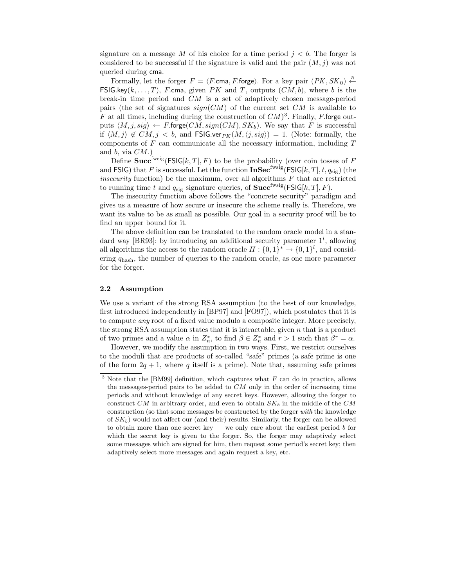signature on a message M of his choice for a time period  $j < b$ . The forger is considered to be successful if the signature is valid and the pair  $(M, j)$  was not queried during cma.

Formally, let the forger  $F = \langle F.\text{cma}, F.\text{forge} \rangle$ . For a key pair  $(PK, SK_0) \stackrel{R}{\leftarrow}$ FSIG.key( $k, \ldots, T$ ), F.cma, given PK and T, outputs (CM, b), where b is the break-in time period and CM is a set of adaptively chosen message-period pairs (the set of signatures  $sign(CM)$  of the current set CM is available to  $F$  at all times, including during the construction of  $CM$ <sup>3</sup>. Finally, F.forge outputs  $\langle M, j, sig \rangle \leftarrow F$ .forge $(CM, sign(CM), SK_b)$ . We say that F is successful if  $\langle M, j \rangle \notin CM, j < b$ , and FSIG.ver $p_K(M, \langle j, sig \rangle) = 1$ . (Note: formally, the components of  $F$  can communicate all the necessary information, including  $T$ and  $b$ , via  $CM$ .)

Define  $\text{Succ}^{\text{fwsig}}(\textsf{FSIG}[k,T],F)$  to be the probability (over coin tosses of F and FSIG) that F is successful. Let the function  $\textbf{InSec}^{\text{fwsig}}(FSIG[k,T],t,q_{\text{sig}})$  (the insecurity function) be the maximum, over all algorithms  $F$  that are restricted to running time t and  $q_{\text{sig}}$  signature queries, of  $\text{Succ}^{\text{fwsig}}(\textsf{FSIG}[k, T], F)$ .

The insecurity function above follows the "concrete security" paradigm and gives us a measure of how secure or insecure the scheme really is. Therefore, we want its value to be as small as possible. Our goal in a security proof will be to find an upper bound for it.

The above definition can be translated to the random oracle model in a standard way [BR93]: by introducing an additional security parameter  $1^l$ , allowing all algorithms the access to the random oracle  $H: \{0,1\}^* \to \{0,1\}^l$ , and considering  $q_{\text{hash}}$ , the number of queries to the random oracle, as one more parameter for the forger.

#### 2.2 Assumption

We use a variant of the strong RSA assumption (to the best of our knowledge, first introduced independently in [BP97] and [FO97]), which postulates that it is to compute any root of a fixed value modulo a composite integer. More precisely, the strong RSA assumption states that it is intractable, given  $n$  that is a product of two primes and a value  $\alpha$  in  $Z_n^*$ , to find  $\beta \in Z_n^*$  and  $r > 1$  such that  $\beta^r = \alpha$ .

However, we modify the assumption in two ways. First, we restrict ourselves to the moduli that are products of so-called "safe" primes (a safe prime is one of the form  $2q + 1$ , where q itself is a prime). Note that, assuming safe primes

 $3$  Note that the [BM99] definition, which captures what  $F$  can do in practice, allows the messages-period pairs to be added to  $CM$  only in the order of increasing time periods and without knowledge of any secret keys. However, allowing the forger to construct CM in arbitrary order, and even to obtain  $SK_b$  in the middle of the CM construction (so that some messages be constructed by the forger with the knowledge of  $SK_b$ ) would not affect our (and their) results. Similarly, the forger can be allowed to obtain more than one secret key — we only care about the earliest period  $b$  for which the secret key is given to the forger. So, the forger may adaptively select some messages which are signed for him, then request some period's secret key; then adaptively select more messages and again request a key, etc.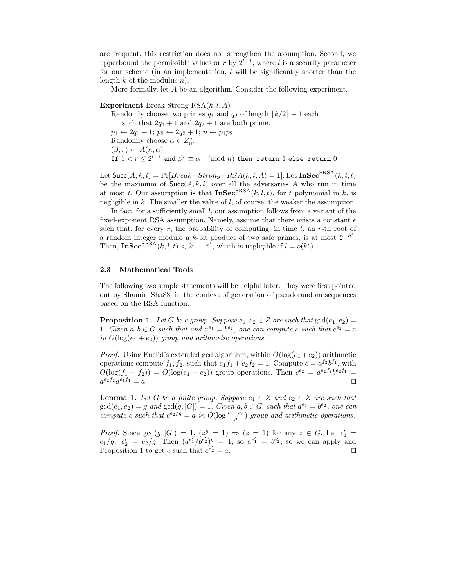are frequent, this restriction does not strengthen the assumption. Second, we upperbound the permissible values or r by  $2^{l+1}$ , where l is a security parameter for our scheme (in an implementation,  $l$  will be significantly shorter than the length  $k$  of the modulus  $n$ ).

More formally, let A be an algorithm. Consider the following experiment.

Experiment Break-Strong-RSA $(k, l, A)$ Randomly choose two primes  $q_1$  and  $q_2$  of length  $\lceil k/2 \rceil - 1$  each such that  $2q_1 + 1$  and  $2q_2 + 1$  are both prime.  $p_1 \leftarrow 2q_1 + 1; p_2 \leftarrow 2q_2 + 1; n \leftarrow p_1p_2$ Randomly choose  $\alpha \in Z_n^*$ .  $(\beta, r) \leftarrow A(n, \alpha)$ If  $1 < r \leq 2^{l+1}$  and  $\beta^r \equiv \alpha \pmod n$  then return  $1$  else return  $0$ 

Let  $\textsf{Succ}(A, k, l) = \Pr[Break - Strong - RSA(k, l, A) = 1]$ . Let  $\textbf{InSec}^{\text{SRSA}}(k, l, t)$ be the maximum of  $Succ(A, k, l)$  over all the adversaries A who run in time at most t. Our assumption is that  $InSec^{SRSA}(k, l, t)$ , for t polynomial in k, is negligible in  $k$ . The smaller the value of  $l$ , of course, the weaker the assumption.

In fact, for a sufficiently small l, our assumption follows from a variant of the fixed-exponent RSA assumption. Namely, assume that there exists a constant  $\epsilon$ such that, for every r, the probability of computing, in time t, an r-th root of a random integer modulo a k-bit product of two safe primes, is at most  $2^{-k^{\epsilon}}$ . Then,  $\mathbf{InSec}^{\text{SKSA}}(k, l, t) < 2^{l+1-k^{\epsilon}}$ , which is negligible if  $l = o(k^{\epsilon})$ .

#### 2.3 Mathematical Tools

The following two simple statements will be helpful later. They were first pointed out by Shamir [Sha83] in the context of generation of pseudorandom sequences based on the RSA function.

**Proposition 1.** Let G be a group. Suppose  $e_1, e_2 \in Z$  are such that  $gcd(e_1, e_2) =$ 1. Given  $a, b \in G$  such that and  $a^{e_1} = b^{e_2}$ , one can compute c such that  $c^{e_2} = a$ in  $O(\log(e_1 + e_2))$  group and arithmetic operations.

*Proof.* Using Euclid's extended gcd algorithm, within  $O(\log(e_1 + e_2))$  arithmetic operations compute  $f_1, f_2$ , such that  $e_1 f_1 + e_2 f_2 = 1$ . Compute  $c = a^{f_2} b^{f_1}$ , with  $O(\log(f_1 + f_2)) = O(\log(e_1 + e_2))$  group operations. Then  $c^{e_2} = a^{e_2 f_2} b^{e_2 f_1} =$  $a^{e_2f_2}a$  $e_1f_1 = a.$ 

**Lemma 1.** Let G be a finite group. Suppose  $e_1 \in Z$  and  $e_2 \in Z$  are such that  $gcd(e_1, e_2) = g$  and  $gcd(g, |G|) = 1$ . Given  $a, b \in G$ , such that  $a^{e_1} = b^{e_2}$ , one can compute c such that  $c^{e_2/g} = a$  in  $O(\log \frac{e_1+e_2}{g})$  group and arithmetic operations.

*Proof.* Since  $gcd(g, |G|) = 1$ ,  $(z<sup>g</sup> = 1) \Rightarrow (z = 1)$  for any  $z \in G$ . Let  $e'_1 =$  $e_1/g$ ,  $e'_2 = e_2/g$ . Then  $(a^{e'_1}/b^{e'_2})^g = 1$ , so  $a^{e'_1} = b^{e'_2}$ , so we can apply and Proposition 1 to get c such that  $c^{e'_2} = a$ .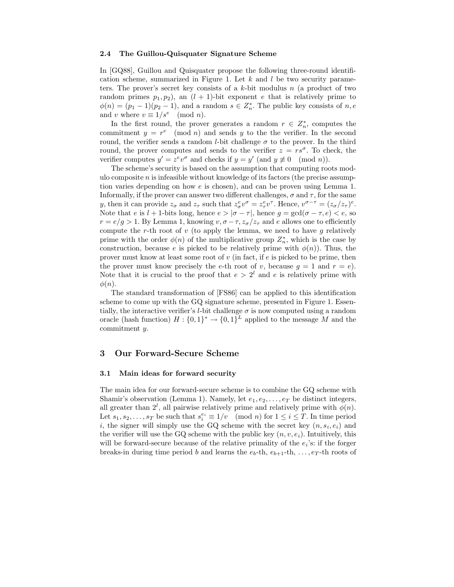#### 2.4 The Guillou-Quisquater Signature Scheme

In [GQ88], Guillou and Quisquater propose the following three-round identification scheme, summarized in Figure 1. Let  $k$  and  $l$  be two security parameters. The prover's secret key consists of a  $k$ -bit modulus  $n$  (a product of two random primes  $p_1, p_2$ ), an  $(l + 1)$ -bit exponent e that is relatively prime to  $\phi(n) = (p_1 - 1)(p_2 - 1)$ , and a random  $s \in \mathbb{Z}_n^*$ . The public key consists of  $n, e$ and v where  $v \equiv 1/s^e \pmod{n}$ .

In the first round, the prover generates a random  $r \in Z_n^*$ , computes the commitment  $y = r^e \pmod{n}$  and sends y to the the verifier. In the second round, the verifier sends a random *l*-bit challenge  $\sigma$  to the prover. In the third round, the prover computes and sends to the verifier  $z = rs^{\sigma}$ . To check, the verifier computes  $y' = z^e v^{\sigma}$  and checks if  $y = y'$  (and  $y \not\equiv 0 \pmod{n}$ ).

The scheme's security is based on the assumption that computing roots modulo composite  $n$  is infeasible without knowledge of its factors (the precise assumption varies depending on how e is chosen), and can be proven using Lemma 1. Informally, if the prover can answer two different challenges,  $\sigma$  and  $\tau$ , for the same y, then it can provide  $z_{\sigma}$  and  $z_{\tau}$  such that  $z_{\sigma}^e v^{\sigma} = z_{\tau}^e v^{\tau}$ . Hence,  $v^{\sigma-\tau} = (z_{\sigma}/z_{\tau})^e$ . Note that e is  $l + 1$ -bits long, hence  $e > |\sigma - \tau|$ , hence  $g = \gcd(\sigma - \tau, e) < e$ , so  $r = e/g > 1$ . By Lemma 1, knowing  $v, \sigma - \tau, z_{\sigma}/z_{\tau}$  and e allows one to efficiently compute the r-th root of v (to apply the lemma, we need to have g relatively prime with the order  $\phi(n)$  of the multiplicative group  $Z_n^*$ , which is the case by construction, because e is picked to be relatively prime with  $\phi(n)$ ). Thus, the prover must know at least some root of  $v$  (in fact, if  $e$  is picked to be prime, then the prover must know precisely the e-th root of v, because  $q = 1$  and  $r = e$ ). Note that it is crucial to the proof that  $e > 2^l$  and e is relatively prime with  $\phi(n)$ .

The standard transformation of [FS86] can be applied to this identification scheme to come up with the GQ signature scheme, presented in Figure 1. Essentially, the interactive verifier's l-bit challenge  $\sigma$  is now computed using a random oracle (hash function)  $H: \{0,1\}^* \to \{0,1\}^L$  applied to the message M and the commitment y.

### 3 Our Forward-Secure Scheme

#### 3.1 Main ideas for forward security

The main idea for our forward-secure scheme is to combine the GQ scheme with Shamir's observation (Lemma 1). Namely, let  $e_1, e_2, \ldots, e_T$  be distinct integers, all greater than  $2^l$ , all pairwise relatively prime and relatively prime with  $\phi(n)$ . Let  $s_1, s_2, \ldots, s_T$  be such that  $s_i^{e_i} \equiv 1/v \pmod{n}$  for  $1 \le i \le T$ . In time period i, the signer will simply use the GQ scheme with the secret key  $(n, s_i, e_i)$  and the verifier will use the GQ scheme with the public key  $(n, v, e_i)$ . Intuitively, this will be forward-secure because of the relative primality of the  $e_i$ 's: if the forger breaks-in during time period b and learns the  $e_b$ -th,  $e_{b+1}$ -th, ...,  $e_T$ -th roots of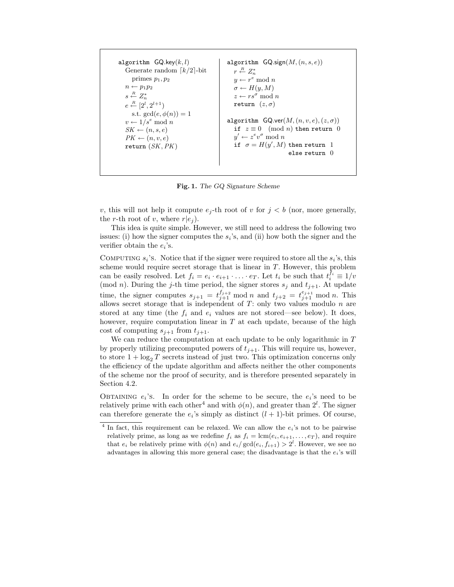```
algorithm GQ.\mathsf{key}(k, l)Generate random \lceil k/2 \rceil-bit
primes p_1, p_2n \leftarrow p_1 p_2s \stackrel{R}{\leftarrow} Z_n^*e \leftarrow [2^l, 2^{l+1})s.t. gcd(e, \phi(n)) = 1v \leftarrow 1/s^e \mod nSK \leftarrow (n, s, e)PK \leftarrow (n, v, e)return (SK, PK)algorithm GQ\text{.sign}(M,(n,s,e))r \stackrel{R}{\leftarrow} Z_n^*y \leftarrow r^e \mod n\sigma \leftarrow H(y, M)z \leftarrow rs^{\sigma} \bmod nreturn (z, \sigma)algorithm GQ.\text{ver}(M,(n,v,e),(z,\sigma))if z \equiv 0 \pmod{n} then return 0
                                                  y' \leftarrow z^e v^\sigma \bmod nif \sigma = H(y',M) then return 1
                                                                            else return 0
```
Fig. 1. The GQ Signature Scheme

v, this will not help it compute  $e_j$ -th root of v for  $j < b$  (nor, more generally, the r-th root of v, where  $r|e_i$ ).

This idea is quite simple. However, we still need to address the following two issues: (i) how the signer computes the  $s_i$ 's, and (ii) how both the signer and the verifier obtain the  $e_i$ 's.

COMPUTING  $s_i$ 's. Notice that if the signer were required to store all the  $s_i$ 's, this scheme would require secret storage that is linear in  $T$ . However, this problem can be easily resolved. Let  $f_i = e_i \cdot e_{i+1} \cdot \ldots \cdot e_T$ . Let  $t_i$  be such that  $t_i^{f_i} \equiv 1/v$ (mod *n*). During the *j*-th time period, the signer stores  $s_j$  and  $t_{j+1}$ . At update time, the signer computes  $s_{j+1} = t_{j+1}^{f_{j+2}} \mod n$  and  $t_{j+2} = t_{j+1}^{e_{j+1}} \mod n$ . This allows secret storage that is independent of  $T:$  only two values modulo  $n$  are stored at any time (the  $f_i$  and  $e_i$  values are not stored—see below). It does, however, require computation linear in  $T$  at each update, because of the high cost of computing  $s_{i+1}$  from  $t_{i+1}$ .

We can reduce the computation at each update to be only logarithmic in T by properly utilizing precomputed powers of  $t_{j+1}$ . This will require us, however, to store  $1 + \log_2 T$  secrets instead of just two. This optimization concerns only the efficiency of the update algorithm and affects neither the other components of the scheme nor the proof of security, and is therefore presented separately in Section 4.2.

OBTAINING  $e_i$ 's. In order for the scheme to be secure, the  $e_i$ 's need to be relatively prime with each other<sup>4</sup> and with  $\phi(n)$ , and greater than  $2^l$ . The signer can therefore generate the  $e_i$ 's simply as distinct  $(l + 1)$ -bit primes. Of course,

<sup>4</sup> In fact, this requirement can be relaxed. We can allow the  $e_i$ 's not to be pairwise relatively prime, as long as we redefine  $f_i$  as  $f_i = \text{lcm}(e_i, e_{i+1}, \ldots, e_T)$ , and require that  $e_i$  be relatively prime with  $\phi(n)$  and  $e_i/\gcd(e_i, f_{i+1}) > 2^l$ . However, we see no advantages in allowing this more general case; the disadvantage is that the  $e_i$ 's will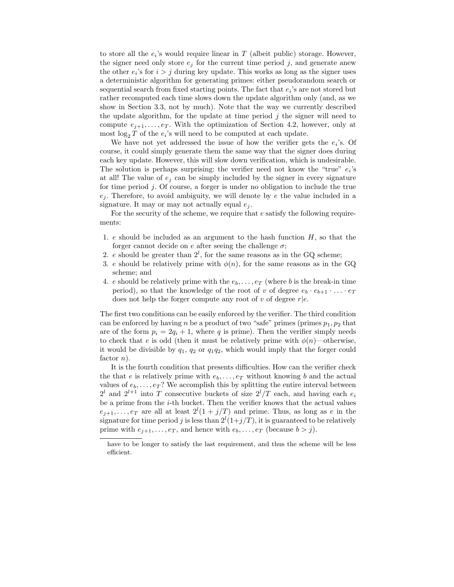to store all the  $e_i$ 's would require linear in T (albeit public) storage. However, the signer need only store  $e_j$  for the current time period j, and generate anew the other  $e_i$ 's for  $i > j$  during key update. This works as long as the signer uses a deterministic algorithm for generating primes: either pseudorandom search or sequential search from fixed starting points. The fact that  $e_i$ 's are not stored but rather recomputed each time slows down the update algorithm only (and, as we show in Section 3.3, not by much). Note that the way we currently described the update algorithm, for the update at time period  $j$  the signer will need to compute  $e_{j+1}, \ldots, e_T$ . With the optimization of Section 4.2, however, only at most  $\log_2 T$  of the  $e_i$ 's will need to be computed at each update.

We have not yet addressed the issue of how the verifier gets the  $e_i$ 's. Of course, it could simply generate them the same way that the signer does during each key update. However, this will slow down verification, which is undesirable. The solution is perhaps surprising: the verifier need not know the "true"  $e_i$ 's at all! The value of  $e_i$  can be simply included by the signer in every signature for time period  $j$ . Of course, a forger is under no obligation to include the true  $e_i$ . Therefore, to avoid ambiguity, we will denote by  $e$  the value included in a signature. It may or may not actually equal  $e_i$ .

For the security of the scheme, we require that e satisfy the following requirements:

- 1. e should be included as an argument to the hash function  $H$ , so that the forger cannot decide on e after seeing the challenge  $\sigma$ ;
- 2. e should be greater than  $2^l$ , for the same reasons as in the GQ scheme;
- 3. e should be relatively prime with  $\phi(n)$ , for the same reasons as in the GQ scheme; and
- 4. e should be relatively prime with the  $e_b, \ldots, e_T$  (where b is the break-in time period), so that the knowledge of the root of v of degree  $e_b \cdot e_{b+1} \cdot \ldots \cdot e_T$ does not help the forger compute any root of v of degree  $r|e$ .

The first two conditions can be easily enforced by the verifier. The third condition can be enforced by having n be a product of two "safe" primes (primes  $p_1, p_2$  that are of the form  $p_i = 2q_i + 1$ , where q is prime). Then the verifier simply needs to check that e is odd (then it must be relatively prime with  $\phi(n)$ —otherwise, it would be divisible by  $q_1, q_2$  or  $q_1q_2$ , which would imply that the forger could factor  $n$ ).

It is the fourth condition that presents difficulties. How can the verifier check the that e is relatively prime with  $e_b, \ldots, e_T$  without knowing b and the actual values of  $e_b, \ldots, e_T$ ? We accomplish this by splitting the entire interval between  $2^l$  and  $2^{l+1}$  into T consecutive buckets of size  $2^l/T$  each, and having each  $e_i$ be a prime from the i-th bucket. Then the verifier knows that the actual values  $e_{j+1}, \ldots, e_T$  are all at least  $2^l(1+j/T)$  and prime. Thus, as long as e in the signature for time period j is less than  $2^{l}(1+j/T)$ , it is guaranteed to be relatively prime with  $e_{i+1}, \ldots, e_T$ , and hence with  $e_b, \ldots, e_T$  (because  $b > j$ ).

have to be longer to satisfy the last requirement, and thus the scheme will be less efficient.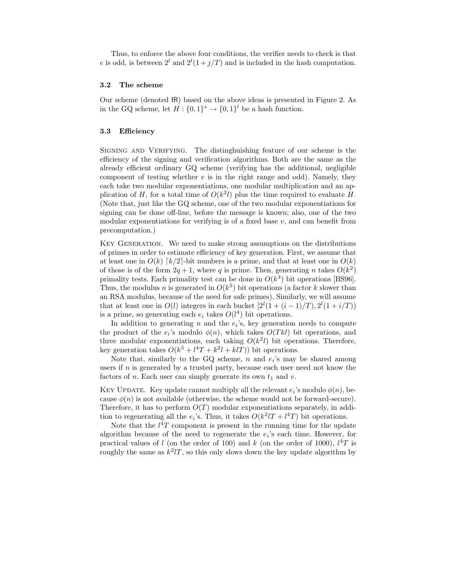Thus, to enforce the above four conditions, the verifier needs to check is that e is odd, is between  $2^l$  and  $2^l(1+j/T)$  and is included in the hash computation.

#### 3.2 The scheme

Our scheme (denoted IR) based on the above ideas is presented in Figure 2. As in the GQ scheme, let  $H: \{0,1\}^* \to \{0,1\}^l$  be a hash function.

#### 3.3 Efficiency

Signing and Verifying. The distinghuishing feature of our scheme is the efficiency of the signing and verification algorithms. Both are the same as the already efficient ordinary GQ scheme (verifying has the additional, negligible component of testing whether  $e$  is in the right range and odd). Namely, they each take two modular exponentiations, one modular multiplication and an application of H, for a total time of  $O(k^2 l)$  plus the time required to evaluate H. (Note that, just like the GQ scheme, one of the two modular exponentiations for signing can be done off-line, before the message is known; also, one of the two modular exponentiations for verifying is of a fixed base  $v$ , and can benefit from precomputation.)

KEY GENERATION. We need to make strong assumptions on the distributions of primes in order to estimate efficiency of key generation. First, we assume that at least one in  $O(k)$  [k/2]-bit numbers is a prime, and that at least one in  $O(k)$ of those is of the form  $2q + 1$ , where q is prime. Then, generating n takes  $O(k^2)$ primality tests. Each primality test can be done in  $O(k^3)$  bit operations [BS96]. Thus, the modulus *n* is generated in  $O(k^5)$  bit operations (a factor k slower than an RSA modulus, because of the need for safe primes). Similarly, we will assume that at least one in  $O(l)$  integers in each bucket  $[2^{l}(1+(i-1)/T), 2^{l}(1+i/T))$ is a prime, so generating each  $e_i$  takes  $O(l^4)$  bit operations.

In addition to generating  $n$  and the  $e_i$ 's, key generation needs to compute the product of the  $e_i$ 's modulo  $\phi(n)$ , which takes  $O(Tkl)$  bit operations, and three modular exponentiations, each taking  $O(k^2 l)$  bit operations. Therefore, key generation takes  $O(k^5 + l^4T + k^2l + klT)$  bit operations.

Note that, similarly to the GQ scheme,  $n$  and  $e_i$ 's may be shared among users if  $n$  is generated by a trusted party, because each user need not know the factors of n. Each user can simply generate its own  $t_1$  and v.

KEY UPDATE. Key update cannot multiply all the relevant  $e_i$ 's modulo  $\phi(n)$ , because  $\phi(n)$  is not available (otherwise, the scheme would not be forward-secure). Therefore, it has to perform  $O(T)$  modular exponentiations separately, in addition to regenerating all the  $e_i$ 's. Thus, it takes  $O(k^2lT + l^4T)$  bit operations.

Note that the  $l^4T$  component is present in the running time for the update algorithm because of the need to regenerate the  $e_i$ 's each time. However, for practical values of l (on the order of 100) and k (on the order of 1000),  $l^4T$  is roughly the same as  $k^2 lT$ , so this only slows down the key update algorithm by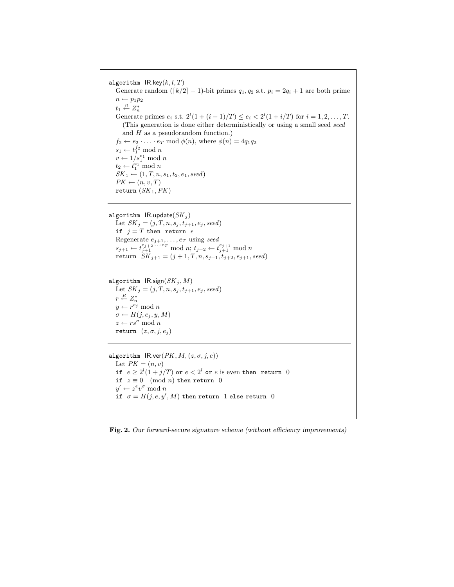algorithm  $\textsf{IR}.\textsf{key}(k,l,T)$ Generate random ( $\lceil k/2 \rceil - 1$ )-bit primes  $q_1, q_2$  s.t.  $p_i = 2q_i + 1$  are both prime  $n \leftarrow p_1 p_2$  $t_1 \overset{R}{\leftarrow} Z_n^*$ Generate primes  $e_i$  s.t.  $2^l(1+(i-1)/T) \le e_i < 2^l(1+i/T)$  for  $i = 1, 2, ..., T$ . (This generation is done either deterministically or using a small seed seed and  $H$  as a pseudorandom function.)  $f_2 \leftarrow e_2 \cdot \ldots \cdot e_T \mod \phi(n)$ , where  $\phi(n) = 4q_1q_2$  $s_1 \leftarrow t_1^{f_2} \mod n$  $v \leftarrow 1/s_1^{e_1} \mod n$  $t_2 \leftarrow t_1^{e_1} \mod n$  $SK_1 \leftarrow (1, T, n, s_1, t_2, e_1, seed)$  $PK \leftarrow (n, v, T)$ return  $(SK_1, PK)$ algorithm  $IR.update(SK_j)$ Let  $SK_j = (j, T, n, s_j, t_{j+1}, e_j, seed)$ if  $j = T$  then return  $\epsilon$ Regenerate  $e_{j+1}, \ldots, e_T$  using seed  $s_{j+1} \leftarrow t_{j+1}^{e_{j+2} \cdot ... \cdot e_T} \mod n; t_{j+2} \leftarrow t_{j+1}^{e_{j+1}} \mod n$ return  $SK_{j+1} = (j+1, T, n, s_{j+1}, t_{j+2}, e_{j+1}, seed)$ algorithm  $\textsf{IR}. \textsf{sign}(SK_j, M)$ Let  $SK_j = (j, T, n, s_j, t_{j+1}, e_j, seed)$  $r \stackrel{R}{\leftarrow} Z_n^*$  $y \leftarrow r^{e_j} \mod n$  $\sigma \leftarrow H(j, e_j, y, M)$  $z \leftarrow rs^{\sigma} \bmod n$ return  $(z, \sigma, j, e_i)$ algorithm  $IR.$ ver $(PK, M, (z, \sigma, j, e))$ Let  $PK = (n, v)$ if  $e \geq 2^l(1+j/T)$  or  $e < 2^l$  or  $e$  is even then return 0 if  $z \equiv 0 \pmod{n}$  then return 0  $y' \leftarrow z^{\epsilon} v^{\sigma} \bmod n$ if  $\sigma = H(j, e, y', M)$  then return 1 else return 0

Fig. 2. Our forward-secure signature scheme (without efficiency improvements)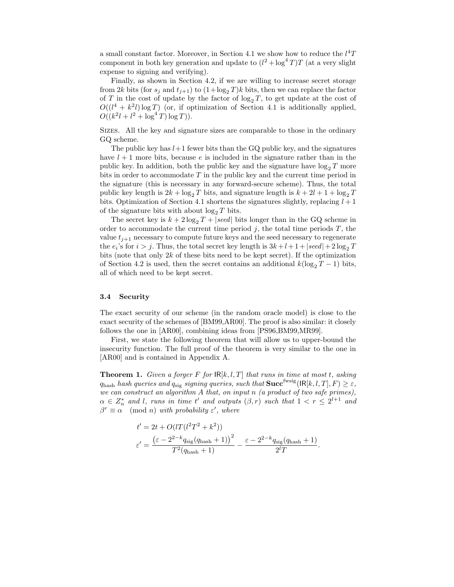a small constant factor. Moreover, in Section 4.1 we show how to reduce the  $l^4T$ component in both key generation and update to  $(l^2 + \log^4 T)T$  (at a very slight expense to signing and verifying).

Finally, as shown in Section 4.2, if we are willing to increase secret storage from 2k bits (for  $s_j$  and  $t_{j+1}$ ) to  $(1+\log_2 T)$ k bits, then we can replace the factor of T in the cost of update by the factor of  $\log_2 T$ , to get update at the cost of  $O((l^4 + k^2l) \log T)$  (or, if optimization of Section 4.1 is additionally applied,  $O((k^2l + l^2 + \log^4 T)\log T)).$ 

Sizes. All the key and signature sizes are comparable to those in the ordinary GQ scheme.

The public key has  $l+1$  fewer bits than the GQ public key, and the signatures have  $l + 1$  more bits, because e is included in the signature rather than in the public key. In addition, both the public key and the signature have  $\log_2 T$  more bits in order to accommodate  $T$  in the public key and the current time period in the signature (this is necessary in any forward-secure scheme). Thus, the total public key length is  $2k + \log_2 T$  bits, and signature length is  $k + 2l + 1 + \log_2 T$ bits. Optimization of Section 4.1 shortens the signatures slightly, replacing  $l + 1$ of the signature bits with about  $\log_2 T$  bits.

The secret key is  $k + 2 \log_2 T + |\text{seed}|$  bits longer than in the GQ scheme in order to accommodate the current time period  $j$ , the total time periods  $T$ , the value  $t_{i+1}$  necessary to compute future keys and the seed necessary to regenerate the  $e_i$ 's for  $i > j$ . Thus, the total secret key length is  $3k+l+1+|seed|+2\log_2 T$ bits (note that only  $2k$  of these bits need to be kept secret). If the optimization of Section 4.2 is used, then the secret contains an additional  $k(\log_2 T - 1)$  bits, all of which need to be kept secret.

#### 3.4 Security

The exact security of our scheme (in the random oracle model) is close to the exact security of the schemes of [BM99,AR00]. The proof is also similar: it closely follows the one in [AR00], combining ideas from [PS96,BM99,MR99].

First, we state the following theorem that will allow us to upper-bound the insecurity function. The full proof of the theorem is very similar to the one in [AR00] and is contained in Appendix A.

**Theorem 1.** Given a forger F for  $\mathsf{IR}[k, l, T]$  that runs in time at most t, asking  $q_{\text{hash}}$  hash queries and  $q_{\text{sig}}$  signing queries, such that  $\text{Succ}^{\text{fwsig}}(\text{IR}[k, l, T], F) \ge \varepsilon$ , we can construct an algorithm A that, on input n (a product of two safe primes),  $\alpha \in \mathbb{Z}_n^*$  and l, runs in time t' and outputs  $(\beta, r)$  such that  $1 < r \leq 2^{l+1}$  and  $\beta^r \equiv \alpha \pmod{n}$  with probability  $\varepsilon'$ , where

$$
t' = 2t + O(lT(l^2T^2 + k^2))
$$
  

$$
\varepsilon' = \frac{(\varepsilon - 2^{2-k}q_{\text{sig}}(q_{\text{hash}} + 1))^{2}}{T^{2}(q_{\text{hash}} + 1)} - \frac{\varepsilon - 2^{2-k}q_{\text{sig}}(q_{\text{hash}} + 1)}{2^{l}T}.
$$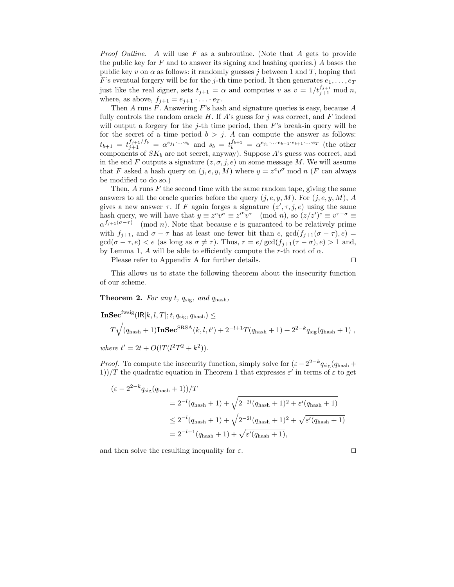*Proof Outline.* A will use  $F$  as a subroutine. (Note that A gets to provide the public key for  $F$  and to answer its signing and hashing queries.) A bases the public key v on  $\alpha$  as follows: it randomly guesses j between 1 and T, hoping that F's eventual forgery will be for the j-th time period. It then generates  $e_1, \ldots, e_T$ just like the real signer, sets  $t_{j+1} = \alpha$  and computes v as  $v = 1/t_{j+1}^{f_{j+1}} \mod n$ , where, as above,  $f_{j+1} = e_{j+1} \cdot \ldots \cdot e_T$ .

Then  $A$  runs  $F$ . Answering  $F$ 's hash and signature queries is easy, because  $A$ fully controls the random oracle  $H$ . If  $A$ 's guess for j was correct, and  $F$  indeed will output a forgery for the  $j$ -th time period, then  $F$ 's break-in query will be for the secret of a time period  $b > j$ . A can compute the answer as follows:  $t_{b+1} = t_{j+1}^{f_{j+1}/f_b} = \alpha^{e_{j_1} \cdot \ldots \cdot e_b}$  and  $s_b = t_b^{f_{b+1}} = \alpha^{e_{j_1} \cdot \ldots \cdot e_{b-1} \cdot e_{b+1} \cdot \ldots \cdot e_T}$  (the other components of  $SK_b$  are not secret, anyway). Suppose A's guess was correct, and in the end F outputs a signature  $(z, \sigma, j, e)$  on some message M. We will assume that F asked a hash query on  $(j, e, y, M)$  where  $y = z^e v^{\sigma} \mod n$  (F can always be modified to do so.)

Then,  $\tilde{A}$  runs  $\tilde{F}$  the second time with the same random tape, giving the same answers to all the oracle queries before the query  $(j, e, y, M)$ . For  $(j, e, y, M)$ , A gives a new answer  $\tau$ . If F again forges a signature  $(z', \tau, j, e)$  using the same hash query, we will have that  $y \equiv z^e v^\sigma \equiv z'^e v^\tau \pmod{n}$ , so  $(z/z')^e \equiv v^{\tau-\sigma} \equiv$  $\alpha^{f_{j+1}(\sigma-\tau)}$  (mod n). Note that because e is guaranteed to be relatively prime with  $f_{j+1}$ , and  $\sigma - \tau$  has at least one fewer bit than e,  $gcd(f_{j+1}(\sigma - \tau), e)$  $gcd(\sigma - \tau, e) < e$  (as long as  $\sigma \neq \tau$ ). Thus,  $r = e/gcd(f_{j+1}(\tau - \sigma), e) > 1$  and, by Lemma 1, A will be able to efficiently compute the r-th root of  $\alpha$ .

Please refer to Appendix A for further details.

$$
\Box
$$

This allows us to state the following theorem about the insecurity function of our scheme.

Theorem 2. For any  $t$ ,  $q_{\text{sig}}$ , and  $q_{\text{hash}}$ ,

$$
\begin{aligned} \mathbf{InSec}^{\text{fwsig}}(|\mathbf{R}[k,l,T]; t, q_{\text{sig}}, q_{\text{hash}}) &\leq \\ T\sqrt{(q_{\text{hash}}+1)\mathbf{InSec}^{\text{SRSA}}(k,l,t')} + 2^{-l+1}T(q_{\text{hash}}+1) + 2^{2-k}q_{\text{sig}}(q_{\text{hash}}+1) , \\ where \ t' &= 2t + O(lT(l^2T^2+k^2)). \end{aligned}
$$

*Proof.* To compute the insecurity function, simply solve for  $(\varepsilon - 2^{2-k} q_{\text{sig}}(q_{\text{hash}} +$ 1))/T the quadratic equation in Theorem 1 that expresses  $\varepsilon'$  in terms of  $\varepsilon$  to get

$$
\begin{aligned} \left(\varepsilon - 2^{2-k} q_{\text{sig}}(q_{\text{hash}} + 1)\right) / T \\ &= 2^{-l} (q_{\text{hash}} + 1) + \sqrt{2^{-2l} (q_{\text{hash}} + 1)^2 + \varepsilon'(q_{\text{hash}} + 1)} \\ &\le 2^{-l} (q_{\text{hash}} + 1) + \sqrt{2^{-2l} (q_{\text{hash}} + 1)^2} + \sqrt{\varepsilon'(q_{\text{hash}} + 1)} \\ &= 2^{-l+1} (q_{\text{hash}} + 1) + \sqrt{\varepsilon'(q_{\text{hash}} + 1)}, \end{aligned}
$$

and then solve the resulting inequality for  $\varepsilon$ .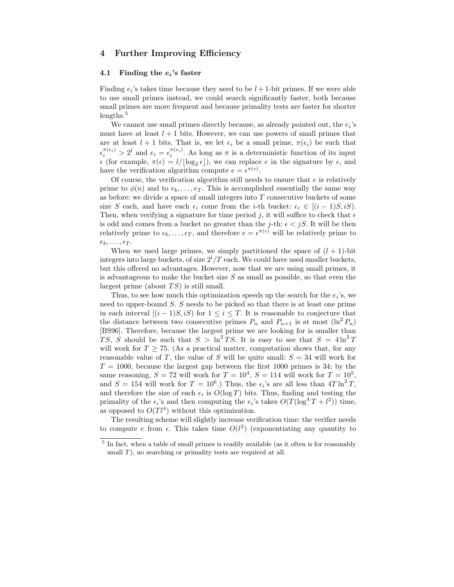# 4 Further Improving Efficiency

#### 4.1 Finding the  $e_i$ 's faster

Finding  $e_i$ 's takes time because they need to be  $l+1$ -bit primes. If we were able to use small primes instead, we could search significantly faster, both because small primes are more frequent and because primality tests are faster for shorter  $lengths.<sup>5</sup>$ 

We cannot use small primes directly because, as already pointed out, the  $e_i$ 's must have at least  $l + 1$  bits. However, we can use powers of small primes that are at least  $l + 1$  bits. That is, we let  $\epsilon_i$  be a small prime,  $\pi(\epsilon_i)$  be such that  $\epsilon_i^{\pi(\epsilon_i)} > 2^l$  and  $e_i = \epsilon_i^{\pi(\epsilon_i)}$ . As long as  $\pi$  is a deterministic function of its input  $\epsilon$  (for example,  $\pi(\epsilon) = l/[\log_2 \epsilon]$ ), we can replace  $\epsilon$  in the signature by  $\epsilon$ , and have the verification algorithm compute  $e = e^{\pi(\epsilon)}$ .

Of course, the verification algorithm still needs to ensure that  $e$  is relatively prime to  $\phi(n)$  and to  $e_b, \ldots, e_T$ . This is accomplished essentially the same way as before: we divide a space of small integers into  $T$  consecutive buckets of some size S each, and have each  $\epsilon_i$  come from the *i*-th bucket:  $\epsilon_i \in [(i-1)S, iS)$ . Then, when verifying a signature for time period j, it will suffice to check that  $\epsilon$ is odd and comes from a bucket no greater than the j-th:  $\epsilon < jS$ . It will be then relatively prime to  $\epsilon_b, \ldots, \epsilon_T$ , and therefore  $e = \epsilon^{\pi(\epsilon)}$  will be relatively prime to  $e_h, \ldots, \epsilon_T$ .

When we used large primes, we simply partitioned the space of  $(l + 1)$ -bit integers into large buckets, of size  $2^{l}/T$  each. We could have used smaller buckets, but this offered no advantages. However, now that we are using small primes, it is advantageous to make the bucket size  $S$  as small as possible, so that even the largest prime (about  $TS$ ) is still small.

Thus, to see how much this optimization speeds up the search for the  $e_i$ 's, we need to upper-bound S. S needs to be picked so that there is at least one prime in each interval  $[(i-1)S, iS)$  for  $1 \leq i \leq T$ . It is reasonable to conjecture that the distance between two consecutive primes  $P_n$  and  $P_{n+1}$  is at most  $(\ln^2 P_n)$ [BS96]. Therefore, because the largest prime we are looking for is smaller than TS, S should be such that  $S > \ln^2 TS$ . It is easy to see that  $S = 4 \ln^2 T$ will work for  $T \ge 75$ . (As a practical matter, computation shows that, for any reasonable value of T, the value of S will be quite small:  $S = 34$  will work for  $T = 1000$ , because the largest gap between the first 1000 primes is 34; by the same reasoning,  $S = 72$  will work for  $T = 10^4$ ,  $S = 114$  will work for  $T = 10^5$ , and  $S = 154$  will work for  $T = 10^6$ .) Thus, the  $\epsilon_i$ 's are all less than  $4T \ln^2 T$ , and therefore the size of each  $\epsilon_i$  is  $O(\log T)$  bits. Thus, finding and testing the primality of the  $\epsilon_i$ 's and then computing the  $e_i$ 's takes  $O(T(\log^4 T + l^2))$  time, as opposed to  $O(Tl^4)$  without this optimization.

The resulting scheme will slightly increase verification time: the verifier needs to compute e from  $\epsilon$ . This takes time  $O(l^2)$  (exponentiating any quantity to

<sup>&</sup>lt;sup>5</sup> In fact, when a table of small primes is readily available (as it often is for reasonably small  $T$ ), no searching or primality tests are required at all.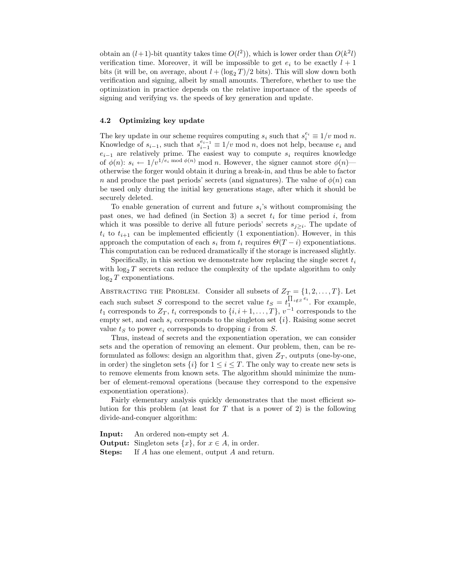obtain an  $(l+1)$ -bit quantity takes time  $O(l^2)$ , which is lower order than  $O(k^2l)$ verification time. Moreover, it will be impossible to get  $e_i$  to be exactly  $l + 1$ bits (it will be, on average, about  $l + (\log_2 T)/2$  bits). This will slow down both verification and signing, albeit by small amounts. Therefore, whether to use the optimization in practice depends on the relative importance of the speeds of signing and verifying vs. the speeds of key generation and update.

# 4.2 Optimizing key update

The key update in our scheme requires computing  $s_i$  such that  $s_i^{e_i} \equiv 1/v \mod n$ . Knowledge of  $s_{i-1}$ , such that  $s_{i-1}^{e_{i-1}} \equiv 1/v \mod n$ , does not help, because  $e_i$  and  $e_{i-1}$  are relatively prime. The easiest way to compute  $s_i$  requires knowledge of  $\phi(n)$ :  $s_i \leftarrow 1/v^{1/e_i \mod \phi(n)} \mod n$ . However, the signer cannot store  $\phi(n)$  otherwise the forger would obtain it during a break-in, and thus be able to factor n and produce the past periods' secrets (and signatures). The value of  $\phi(n)$  can be used only during the initial key generations stage, after which it should be securely deleted.

To enable generation of current and future  $s_i$ 's without compromising the past ones, we had defined (in Section 3) a secret  $t_i$  for time period i, from which it was possible to derive all future periods' secrets  $s_{j\geq i}$ . The update of  $t_i$  to  $t_{i+1}$  can be implemented efficiently (1 exponentiation). However, in this approach the computation of each  $s_i$  from  $t_i$  requires  $\Theta(T - i)$  exponentiations. This computation can be reduced dramatically if the storage is increased slightly.

Specifically, in this section we demonstrate how replacing the single secret  $t_i$ with  $\log_2 T$  secrets can reduce the complexity of the update algorithm to only  $log_2 T$  exponentiations.

ABSTRACTING THE PROBLEM. Consider all subsets of  $Z_T = \{1, 2, \ldots, T\}$ . Let each such subset S correspond to the secret value  $t_S = t_1^{\prod_{i \notin S} e_i}$  $1^{11}$ <sup>i</sup>  $\notin$  s<sup>c<sub>1</sub></sup>. For example,  $t_1$  corresponds to  $Z_T$ ,  $t_i$  corresponds to  $\{i, i+1, \ldots, T\}$ ,  $v^{-1}$  corresponds to the empty set, and each  $s_i$  corresponds to the singleton set  $\{i\}$ . Raising some secret value  $t<sub>S</sub>$  to power  $e<sub>i</sub>$  corresponds to dropping i from S.

Thus, instead of secrets and the exponentiation operation, we can consider sets and the operation of removing an element. Our problem, then, can be reformulated as follows: design an algorithm that, given  $Z_T$ , outputs (one-by-one, in order) the singleton sets  $\{i\}$  for  $1 \leq i \leq T$ . The only way to create new sets is to remove elements from known sets. The algorithm should minimize the number of element-removal operations (because they correspond to the expensive exponentiation operations).

Fairly elementary analysis quickly demonstrates that the most efficient solution for this problem (at least for  $T$  that is a power of 2) is the following divide-and-conquer algorithm:

Input: An ordered non-empty set A. **Output:** Singleton sets  $\{x\}$ , for  $x \in A$ , in order. Steps: If A has one element, output A and return.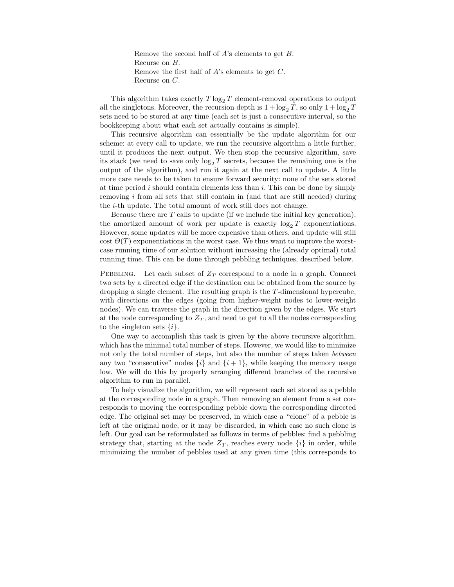Remove the second half of A's elements to get B. Recurse on B. Remove the first half of  $A$ 's elements to get  $C$ . Recurse on C.

This algorithm takes exactly  $T \log_2 T$  element-removal operations to output all the singletons. Moreover, the recursion depth is  $1 + \log_2 T$ , so only  $1 + \log_2 T$ sets need to be stored at any time (each set is just a consecutive interval, so the bookkeeping about what each set actually contains is simple).

This recursive algorithm can essentially be the update algorithm for our scheme: at every call to update, we run the recursive algorithm a little further, until it produces the next output. We then stop the recursive algorithm, save its stack (we need to save only  $\log_2 T$  secrets, because the remaining one is the output of the algorithm), and run it again at the next call to update. A little more care needs to be taken to ensure forward security: none of the sets stored at time period i should contain elements less than i. This can be done by simply removing  $i$  from all sets that still contain in (and that are still needed) during the i-th update. The total amount of work still does not change.

Because there are  $T$  calls to update (if we include the initial key generation), the amortized amount of work per update is exactly  $\log_2 T$  exponentiations. However, some updates will be more expensive than others, and update will still  $\cot \Theta(T)$  exponentiations in the worst case. We thus want to improve the worstcase running time of our solution without increasing the (already optimal) total running time. This can be done through pebbling techniques, described below.

PEBBLING. Let each subset of  $Z_T$  correspond to a node in a graph. Connect two sets by a directed edge if the destination can be obtained from the source by dropping a single element. The resulting graph is the T-dimensional hypercube, with directions on the edges (going from higher-weight nodes to lower-weight nodes). We can traverse the graph in the direction given by the edges. We start at the node corresponding to  $Z_T$ , and need to get to all the nodes corresponding to the singleton sets  $\{i\}$ .

One way to accomplish this task is given by the above recursive algorithm, which has the minimal total number of steps. However, we would like to minimize not only the total number of steps, but also the number of steps taken *between* any two "consecutive" nodes  $\{i\}$  and  $\{i+1\}$ , while keeping the memory usage low. We will do this by properly arranging different branches of the recursive algorithm to run in parallel.

To help visualize the algorithm, we will represent each set stored as a pebble at the corresponding node in a graph. Then removing an element from a set corresponds to moving the corresponding pebble down the corresponding directed edge. The original set may be preserved, in which case a "clone" of a pebble is left at the original node, or it may be discarded, in which case no such clone is left. Our goal can be reformulated as follows in terms of pebbles: find a pebbling strategy that, starting at the node  $Z_T$ , reaches every node  $\{i\}$  in order, while minimizing the number of pebbles used at any given time (this corresponds to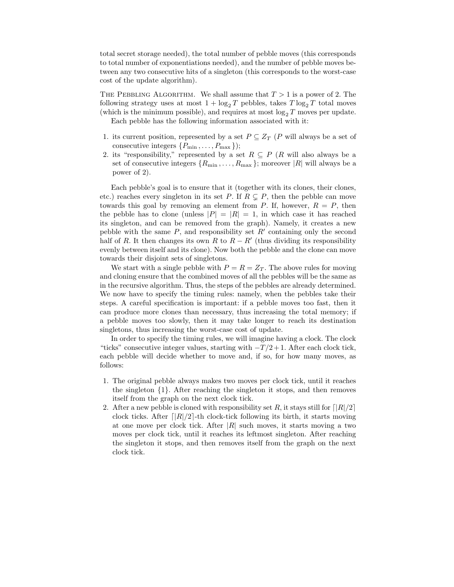total secret storage needed), the total number of pebble moves (this corresponds to total number of exponentiations needed), and the number of pebble moves between any two consecutive hits of a singleton (this corresponds to the worst-case cost of the update algorithm).

THE PEBBLING ALGORITHM. We shall assume that  $T > 1$  is a power of 2. The following strategy uses at most  $1 + \log_2 T$  pebbles, takes  $T \log_2 T$  total moves (which is the minimum possible), and requires at most  $\log_2 T$  moves per update. Each pebble has the following information associated with it:

1. its current position, represented by a set  $P \subseteq Z_T$  (P will always be a set of consecutive integers  $\{P_{\min}, \ldots, P_{\max}\}\;$ 

2. its "responsibility," represented by a set  $R \subseteq P$  (R will also always be a set of consecutive integers  $\{R_{\min}, \ldots, R_{\max}\}\;$ ; moreover  $|R|$  will always be a power of 2).

Each pebble's goal is to ensure that it (together with its clones, their clones, etc.) reaches every singleton in its set P. If  $R \subseteq P$ , then the pebble can move towards this goal by removing an element from P. If, however,  $R = P$ , then the pebble has to clone (unless  $|P| = |R| = 1$ , in which case it has reached its singleton, and can be removed from the graph). Namely, it creates a new pebble with the same  $P$ , and responsibility set  $R'$  containing only the second half of R. It then changes its own R to  $R - R'$  (thus dividing its responsibility evenly between itself and its clone). Now both the pebble and the clone can move towards their disjoint sets of singletons.

We start with a single pebble with  $P = R = Z_T$ . The above rules for moving and cloning ensure that the combined moves of all the pebbles will be the same as in the recursive algorithm. Thus, the steps of the pebbles are already determined. We now have to specify the timing rules: namely, when the pebbles take their steps. A careful specification is important: if a pebble moves too fast, then it can produce more clones than necessary, thus increasing the total memory; if a pebble moves too slowly, then it may take longer to reach its destination singletons, thus increasing the worst-case cost of update.

In order to specify the timing rules, we will imagine having a clock. The clock "ticks" consecutive integer values, starting with  $-T/2+1$ . After each clock tick, each pebble will decide whether to move and, if so, for how many moves, as follows:

- 1. The original pebble always makes two moves per clock tick, until it reaches the singleton {1}. After reaching the singleton it stops, and then removes itself from the graph on the next clock tick.
- 2. After a new pebble is cloned with responsibility set R, it stays still for  $\lceil |R|/2 \rceil$ clock ticks. After  $\frac{|R|}{2}$ -th clock-tick following its birth, it starts moving at one move per clock tick. After  $|R|$  such moves, it starts moving a two moves per clock tick, until it reaches its leftmost singleton. After reaching the singleton it stops, and then removes itself from the graph on the next clock tick.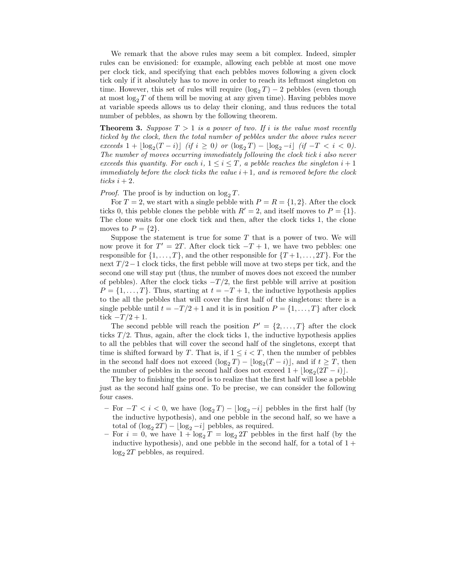We remark that the above rules may seem a bit complex. Indeed, simpler rules can be envisioned: for example, allowing each pebble at most one move per clock tick, and specifying that each pebbles moves following a given clock tick only if it absolutely has to move in order to reach its leftmost singleton on time. However, this set of rules will require  $(\log_2 T) - 2$  pebbles (even though at most  $\log_2 T$  of them will be moving at any given time). Having pebbles move at variable speeds allows us to delay their cloning, and thus reduces the total number of pebbles, as shown by the following theorem.

**Theorem 3.** Suppose  $T > 1$  is a power of two. If i is the value most recently ticked by the clock, then the total number of pebbles under the above rules never  $exceeds \ 1 + \lfloor \log_2(T - i) \rfloor \ (if \ i \geq 0) \ or \ (\log_2 T) - \lfloor \log_2 - i \rfloor \ (if \ -T \ < \ i \ < 0).$ The number of moves occurring immediately following the clock tick i also never exceeds this quantity. For each i,  $1 \leq i \leq T$ , a pebble reaches the singleton  $i + 1$ immediately before the clock ticks the value  $i+1$ , and is removed before the clock ticks  $i + 2$ .

*Proof.* The proof is by induction on  $\log_2 T$ .

For  $T = 2$ , we start with a single pebble with  $P = R = \{1, 2\}$ . After the clock ticks 0, this pebble clones the pebble with  $R' = 2$ , and itself moves to  $P = \{1\}$ . The clone waits for one clock tick and then, after the clock ticks 1, the clone moves to  $P = \{2\}.$ 

Suppose the statement is true for some  $T$  that is a power of two. We will now prove it for  $T' = 2T$ . After clock tick  $-T + 1$ , we have two pebbles: one responsible for  $\{1, \ldots, T\}$ , and the other responsible for  $\{T+1, \ldots, 2T\}$ . For the next  $T/2-1$  clock ticks, the first pebble will move at two steps per tick, and the second one will stay put (thus, the number of moves does not exceed the number of pebbles). After the clock ticks  $-T/2$ , the first pebble will arrive at position  $P = \{1, \ldots, T\}$ . Thus, starting at  $t = -T + 1$ , the inductive hypothesis applies to the all the pebbles that will cover the first half of the singletons: there is a single pebble until  $t = -T/2 + 1$  and it is in position  $P = \{1, ..., T\}$  after clock tick  $-T/2 + 1$ .

The second pebble will reach the position  $P' = \{2, ..., T\}$  after the clock ticks  $T/2$ . Thus, again, after the clock ticks 1, the inductive hypothesis applies to all the pebbles that will cover the second half of the singletons, except that time is shifted forward by T. That is, if  $1 \leq i < T$ , then the number of pebbles in the second half does not exceed  $(\log_2 T) - \lfloor \log_2(T - i) \rfloor$ , and if  $t \geq T$ , then the number of pebbles in the second half does not exceed  $1 + \lfloor \log_2(2T - i) \rfloor$ .

The key to finishing the proof is to realize that the first half will lose a pebble just as the second half gains one. To be precise, we can consider the following four cases.

- For  $-T < i < 0$ , we have  $(\log_2 T) \lfloor \log_2 i \rfloor$  pebbles in the first half (by the inductive hypothesis), and one pebble in the second half, so we have a total of  $(\log_2 2T) - \lfloor \log_2 - i \rfloor$  pebbles, as required.
- For  $i = 0$ , we have  $1 + \log_2 T = \log_2 2T$  pebbles in the first half (by the inductive hypothesis), and one pebble in the second half, for a total of  $1 +$  $log_2 2T$  pebbles, as required.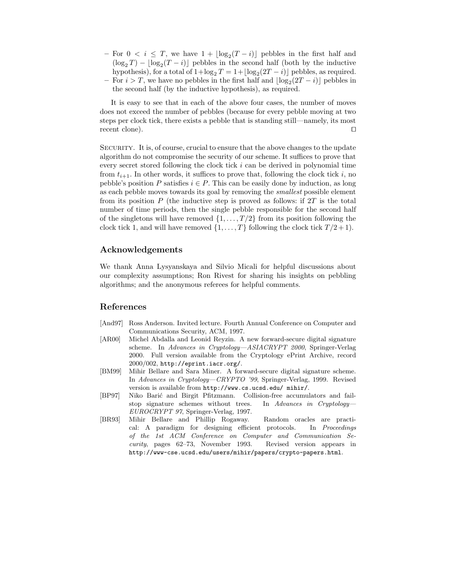- $-$  For 0 < *i* ≤ *T*, we have 1 +  $\lfloor log_2(T i) \rfloor$  pebbles in the first half and  $(\log_2 T) - \lfloor \log_2 (T - i) \rfloor$  pebbles in the second half (both by the inductive hypothesis), for a total of  $1 + \log_2 T = 1 + \lfloor \log_2(2T - i) \rfloor$  pebbles, as required.
- For  $i > T$ , we have no pebbles in the first half and  $\lfloor \log_2(2T i) \rfloor$  pebbles in the second half (by the inductive hypothesis), as required.

It is easy to see that in each of the above four cases, the number of moves does not exceed the number of pebbles (because for every pebble moving at two steps per clock tick, there exists a pebble that is standing still—namely, its most recent clone).  $\Box$ 

Security. It is, of course, crucial to ensure that the above changes to the update algorithm do not compromise the security of our scheme. It suffices to prove that every secret stored following the clock tick  $i$  can be derived in polynomial time from  $t_{i+1}$ . In other words, it suffices to prove that, following the clock tick i, no pebble's position P satisfies  $i \in P$ . This can be easily done by induction, as long as each pebble moves towards its goal by removing the smallest possible element from its position  $P$  (the inductive step is proved as follows: if  $2T$  is the total number of time periods, then the single pebble responsible for the second half of the singletons will have removed  $\{1, \ldots, T/2\}$  from its position following the clock tick 1, and will have removed  $\{1, \ldots, T\}$  following the clock tick  $T/2+1$ .

# Acknowledgements

We thank Anna Lysyanskaya and Silvio Micali for helpful discussions about our complexity assumptions; Ron Rivest for sharing his insights on pebbling algorithms; and the anonymous referees for helpful comments.

# References

- [And97] Ross Anderson. Invited lecture. Fourth Annual Conference on Computer and Communications Security, ACM, 1997.
- [AR00] Michel Abdalla and Leonid Reyzin. A new forward-secure digital signature scheme. In Advances in Cryptology—ASIACRYPT 2000, Springer-Verlag 2000. Full version available from the Cryptology ePrint Archive, record 2000/002, http://eprint.iacr.org/.
- [BM99] Mihir Bellare and Sara Miner. A forward-secure digital signature scheme. In Advances in Cryptology—CRYPTO '99, Springer-Verlag, 1999. Revised version is available from http://www.cs.ucsd.edu/ mihir/.
- [BP97] Niko Barić and Birgit Pfitzmann. Collision-free accumulators and failstop signature schemes without trees. In Advances in Cryptology— EUROCRYPT 97, Springer-Verlag, 1997.
- [BR93] Mihir Bellare and Phillip Rogaway. Random oracles are practical: A paradigm for designing efficient protocols. In Proceedings of the 1st ACM Conference on Computer and Communication Security, pages 62–73, November 1993. Revised version appears in http://www-cse.ucsd.edu/users/mihir/papers/crypto-papers.html.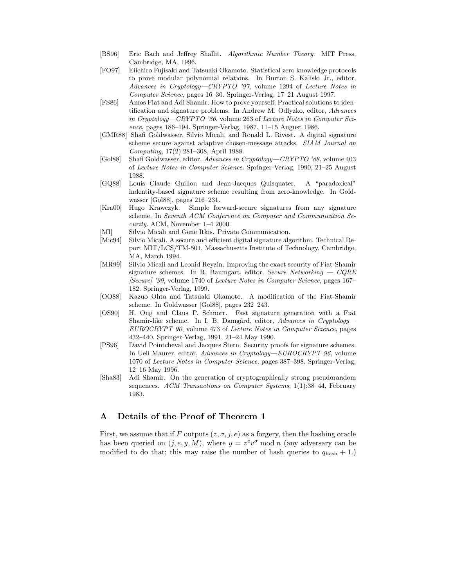- [BS96] Eric Bach and Jeffrey Shallit. Algorithmic Number Theory. MIT Press, Cambridge, MA, 1996.
- [FO97] Eiichiro Fujisaki and Tatsuaki Okamoto. Statistical zero knowledge protocols to prove modular polynomial relations. In Burton S. Kaliski Jr., editor, Advances in Cryptology—CRYPTO '97, volume 1294 of Lecture Notes in Computer Science, pages 16–30. Springer-Verlag, 17–21 August 1997.
- [FS86] Amos Fiat and Adi Shamir. How to prove yourself: Practical solutions to identification and signature problems. In Andrew M. Odlyzko, editor, Advances in Cryptology—CRYPTO '86, volume 263 of Lecture Notes in Computer Science, pages 186–194. Springer-Verlag, 1987, 11–15 August 1986.
- [GMR88] Shafi Goldwasser, Silvio Micali, and Ronald L. Rivest. A digital signature scheme secure against adaptive chosen-message attacks. SIAM Journal on Computing, 17(2):281–308, April 1988.
- [Gol88] Shafi Goldwasser, editor. Advances in Cryptology—CRYPTO '88, volume 403 of Lecture Notes in Computer Science. Springer-Verlag, 1990, 21–25 August 1988.
- [GQ88] Louis Claude Guillou and Jean-Jacques Quisquater. A "paradoxical" indentity-based signature scheme resulting from zero-knowledge. In Goldwasser [Gol88], pages 216–231.
- [Kra00] Hugo Krawczyk. Simple forward-secure signatures from any signature scheme. In Seventh ACM Conference on Computer and Communication Security. ACM, November 1–4 2000.
- [MI] Silvio Micali and Gene Itkis. Private Communication.
- [Mic94] Silvio Micali. A secure and efficient digital signature algorithm. Technical Report MIT/LCS/TM-501, Massachusetts Institute of Technology, Cambridge, MA, March 1994.
- [MR99] Silvio Micali and Leonid Reyzin. Improving the exact security of Fiat-Shamir signature schemes. In R. Baumgart, editor, Secure Networking  $-$  CQRE [Secure] '99, volume 1740 of Lecture Notes in Computer Science, pages 167– 182. Springer-Verlag, 1999.
- [OO88] Kazuo Ohta and Tatsuaki Okamoto. A modification of the Fiat-Shamir scheme. In Goldwasser [Gol88], pages 232–243.
- [OS90] H. Ong and Claus P. Schnorr. Fast signature generation with a Fiat Shamir-like scheme. In I. B. Damgård, editor, Advances in Cryptology-EUROCRYPT 90, volume 473 of Lecture Notes in Computer Science, pages 432–440. Springer-Verlag, 1991, 21–24 May 1990.
- [PS96] David Pointcheval and Jacques Stern. Security proofs for signature schemes. In Ueli Maurer, editor, Advances in Cryptology—EUROCRYPT 96, volume 1070 of Lecture Notes in Computer Science, pages 387–398. Springer-Verlag, 12–16 May 1996.
- [Sha83] Adi Shamir. On the generation of cryptographically strong pseudorandom sequences. ACM Transactions on Computer Systems, 1(1):38–44, February 1983.

# A Details of the Proof of Theorem 1

First, we assume that if F outputs  $(z, \sigma, j, e)$  as a forgery, then the hashing oracle has been queried on  $(j, e, y, M)$ , where  $y = z^e v^\sigma \mod n$  (any adversary can be modified to do that; this may raise the number of hash queries to  $q_{\text{hash}} + 1$ .)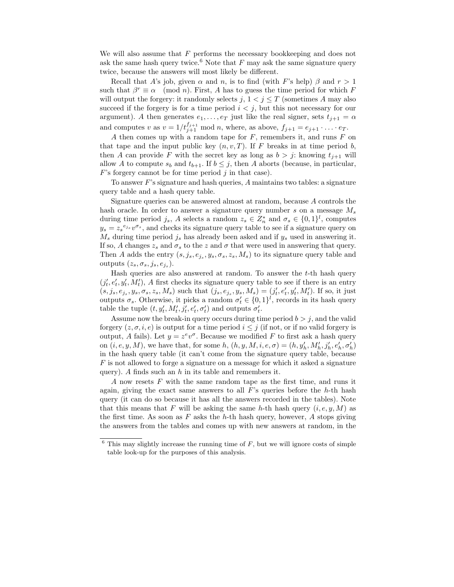We will also assume that  $F$  performs the necessary bookkeeping and does not ask the same hash query twice.<sup>6</sup> Note that  $F$  may ask the same signature query twice, because the answers will most likely be different.

Recall that A's job, given  $\alpha$  and n, is to find (with F's help)  $\beta$  and  $r > 1$ such that  $\beta^r \equiv \alpha \pmod{n}$ . First, A has to guess the time period for which F will output the forgery: it randomly selects j,  $1 \leq j \leq T$  (sometimes A may also succeed if the forgery is for a time period  $i < j$ , but this not necessary for our argument). A then generates  $e_1, \ldots, e_T$  just like the real signer, sets  $t_{j+1} = \alpha$ and computes v as  $v = 1/t_{j+1}^{f_{j+1}} \mod n$ , where, as above,  $f_{j+1} = e_{j+1} \cdot \ldots \cdot e_T$ .

A then comes up with a random tape for  $F$ , remembers it, and runs  $F$  on that tape and the input public key  $(n, v, T)$ . If F breaks in at time period b, then A can provide F with the secret key as long as  $b > j$ : knowing  $t_{j+1}$  will allow A to compute  $s_b$  and  $t_{b+1}$ . If  $b \leq j$ , then A aborts (because, in particular,  $F$ 's forgery cannot be for time period  $j$  in that case).

To answer F's signature and hash queries, A maintains two tables: a signature query table and a hash query table.

Signature queries can be answered almost at random, because A controls the hash oracle. In order to answer a signature query number s on a message  $M_s$ during time period  $j_s$ , A selects a random  $z_s \in Z_n^*$  and  $\sigma_s \in \{0,1\}^l$ , computes  $y_s = z_s^{e_{js}} v^{\sigma_s}$ , and checks its signature query table to see if a signature query on  $M_s$  during time period  $j_s$  has already been asked and if  $y_s$  used in answering it. If so, A changes  $z_s$  and  $\sigma_s$  to the z and  $\sigma$  that were used in answering that query. Then A adds the entry  $(s, j_s, e_{j_s}, y_s, \sigma_s, z_s, M_s)$  to its signature query table and outputs  $(z_s, \sigma_s, j_s, e_{j_s}).$ 

Hash queries are also answered at random. To answer the  $t$ -th hash query  $(j'_t, e'_t, y'_t, M'_t)$ , A first checks its signature query table to see if there is an entry  $(s, j_s, e_{j_s}, y_s, \sigma_s, z_s, M_s)$  such that  $(j_s, e_{j_s}, y_s, M_s) = (j'_t, e'_t, y'_t, M'_t)$ . If so, it just outputs  $\sigma_s$ . Otherwise, it picks a random  $\sigma'_t \in \{0,1\}^l$ , records in its hash query table the tuple  $(t, y_t', M_t', j_t', e_t', \sigma_t')$  and outputs  $\sigma_t'.$ 

Assume now the break-in query occurs during time period  $b > j$ , and the valid forgery  $(z, \sigma, i, e)$  is output for a time period  $i \leq j$  (if not, or if no valid forgery is output, A fails). Let  $y = z^e v^{\sigma}$ . Because we modified F to first ask a hash query on  $(i, e, y, M)$ , we have that, for some h,  $(h, y, M, i, e, \sigma) = (h, y_h', M_h', j_h', e_h', \sigma_h')$ in the hash query table (it can't come from the signature query table, because  $F$  is not allowed to forge a signature on a message for which it asked a signature query). A finds such an  $h$  in its table and remembers it.

 $A$  now resets  $F$  with the same random tape as the first time, and runs it again, giving the exact same answers to all  $F$ 's queries before the h-th hash query (it can do so because it has all the answers recorded in the tables). Note that this means that F will be asking the same h-th hash query  $(i, e, y, M)$  as the first time. As soon as  $F$  asks the h-th hash query, however, A stops giving the answers from the tables and comes up with new answers at random, in the

 $6$  This may slightly increase the running time of  $F$ , but we will ignore costs of simple table look-up for the purposes of this analysis.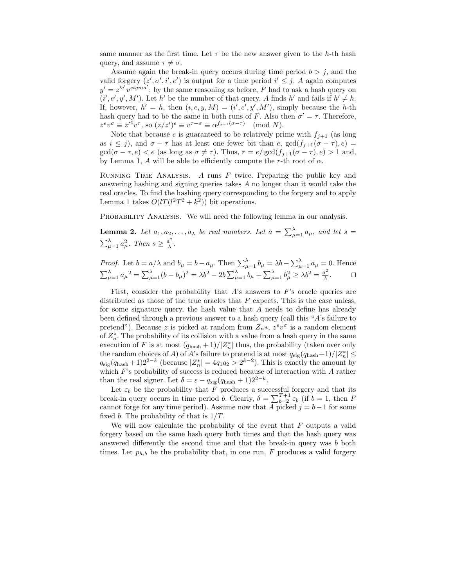same manner as the first time. Let  $\tau$  be the new answer given to the h-th hash query, and assume  $\tau \neq \sigma$ .

Assume again the break-in query occurs during time period  $b > j$ , and the valid forgery  $(z', \sigma', i', e')$  is output for a time period  $i' \leq j$ . A again computes  $y' = z'^{e'}v^{sigma'}.$  by the same reasoning as before, F had to ask a hash query on  $(i', e', y', M')$ . Let h' be the number of that query. A finds h' and fails if  $h' \neq h$ . If, however,  $h' = h$ , then  $(i, e, y, M) = (i', e', y', M')$ , simply because the h-th hash query had to be the same in both runs of F. Also then  $\sigma' = \tau$ . Therefore,  $z^ev^{\sigma} \equiv z'^{\tilde{e}}v^{\tau}$ , so  $(z/z')^e \equiv v^{\tau-\sigma} \equiv \alpha^{f_{j+1}(\sigma-\tau)} \pmod{N}$ .

Note that because e is guaranteed to be relatively prime with  $f_{j+1}$  (as long as  $i \leq j$ , and  $\sigma - \tau$  has at least one fewer bit than e,  $gcd(f_{j+1}(\sigma - \tau), e)$  $gcd(\sigma - \tau, e) < e$  (as long as  $\sigma \neq \tau$ ). Thus,  $r = e/gcd(f_{j+1}(\sigma - \tau), e) > 1$  and, by Lemma 1, A will be able to efficiently compute the r-th root of  $\alpha$ .

RUNNING TIME ANALYSIS. A runs  $F$  twice. Preparing the public key and answering hashing and signing queries takes A no longer than it would take the real oracles. To find the hashing query corresponding to the forgery and to apply Lemma 1 takes  $O(lT(l^2T^2 + k^2))$  bit operations.

PROBABILITY ANALYSIS. We will need the following lemma in our analysis.

**Lemma 2.** Let  $a_1, a_2, \ldots, a_\lambda$  be real numbers. Let  $a = \sum_{\mu=1}^{\lambda} a_{\mu}$ , and let  $s =$  $\sum_{\mu=1}^{\lambda} a_{\mu}^2$ . Then  $s \geq \frac{a^2}{\lambda}$  $rac{\lambda^2}{\lambda}$ .

*Proof.* Let  $b = a/\lambda$  and  $b_{\mu} = b - a_{\mu}$ . Then  $\sum_{\mu=1}^{\lambda} b_{\mu} = \lambda b - \sum_{\mu=1}^{\lambda} a_{\mu} = 0$ . Hence  $\sum_{\mu=1}^{\lambda} a_{\mu}^{2} = \sum_{\mu=1}^{\lambda} (b - b_{\mu})^{2} = \lambda b^{2} - 2b \sum_{\mu=1}^{\lambda} b_{\mu} + \sum_{\mu=1}^{\lambda} b_{\mu}^{2} \geq \lambda b^{2} = \frac{a^{2}}{\lambda}$  $\frac{a^2}{\lambda}$ .  $\Box$ 

First, consider the probability that  $A$ 's answers to  $F$ 's oracle queries are distributed as those of the true oracles that  $F$  expects. This is the case unless, for some signature query, the hash value that A needs to define has already been defined through a previous answer to a hash query (call this "A's failure to pretend"). Because z is picked at random from  $Z_n^*, z^e v^\sigma$  is a random element of  $Z_n^*$ . The probability of its collision with a value from a hash query in the same execution of F is at most  $(q_{\text{hash}} + 1) / |Z_n^*|$  thus, the probability (taken over only the random choices of A) of A's failure to pretend is at most  $q_{\rm sig}(q_{\rm hash}+1)/|Z_n^*| \leq$  $q_{\text{sig}}(q_{\text{hash}}+1)2^{2-k}$  (because  $|Z_n^*| = 4q_1q_2 > 2^{k-2}$ ). This is exactly the amount by which F's probability of success is reduced because of interaction with A rather than the real signer. Let  $\delta = \varepsilon - q_{\rm sig}(q_{\rm hash} + 1)2^{2-k}$ .

Let  $\varepsilon_b$  be the probability that F produces a successful forgery and that its break-in query occurs in time period b. Clearly,  $\delta = \sum_{b=2}^{T+1} \varepsilon_b$  (if  $b = 1$ , then F cannot forge for any time period). Assume now that A picked  $j = b-1$  for some fixed b. The probability of that is  $1/T$ .

We will now calculate the probability of the event that  $F$  outputs a valid forgery based on the same hash query both times and that the hash query was answered differently the second time and that the break-in query was b both times. Let  $p_{h,b}$  be the probability that, in one run, F produces a valid forgery